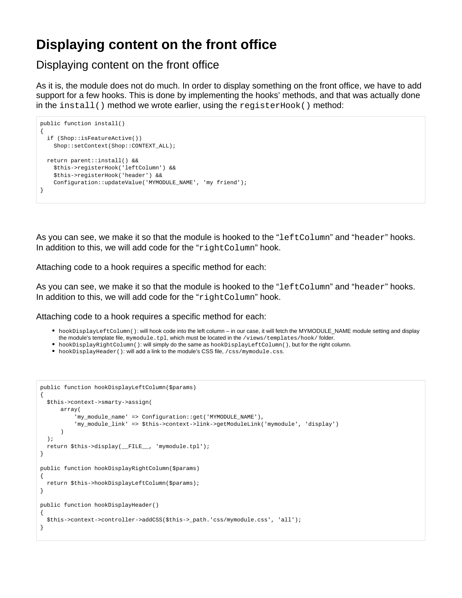# **Displaying content on the front office**

Displaying content on the front office

As it is, the module does not do much. In order to display something on the front office, we have to add support for a few hooks. This is done by implementing the hooks' methods, and that was actually done in the  $install()$  method we wrote earlier, using the  $registerBook()$  method:

```
public function install()
{
  if (Shop::isFeatureActive())
    Shop::setContext(Shop::CONTEXT_ALL);
  return parent::install() &&
     $this->registerHook('leftColumn') &&
     $this->registerHook('header') &&
     Configuration::updateValue('MYMODULE_NAME', 'my friend');
}
```
As you can see, we make it so that the module is hooked to the "leftColumn" and "header" hooks. In addition to this, we will add code for the "rightColumn" hook.

Attaching code to a hook requires a specific method for each:

As you can see, we make it so that the module is hooked to the "leftColumn" and "header" hooks. In addition to this, we will add code for the "rightColumn" hook.

Attaching code to a hook requires a specific method for each:

- hookDisplayLeftColumn(): will hook code into the left column in our case, it will fetch the MYMODULE\_NAME module setting and display the module's template file, mymodule.tpl, which must be located in the /views/templates/hook/folder.
- hookDisplayRightColumn(): will simply do the same as hookDisplayLeftColumn(), but for the right column.
- hookDisplayHeader(): will add a link to the module's CSS file, /css/mymodule.css.

```
public function hookDisplayLeftColumn($params)
{
  $this->context->smarty->assign(
       array(
          'my_module_name' => Configuration::get('MYMODULE_NAME'),
           'my_module_link' => $this->context->link->getModuleLink('mymodule', 'display')
\overline{\phantom{a}} );
   return $this->display(__FILE__, 'mymodule.tpl');
}
public function hookDisplayRightColumn($params)
{
  return $this->hookDisplayLeftColumn($params);
}
public function hookDisplayHeader()
{
   $this->context->controller->addCSS($this->_path.'css/mymodule.css', 'all');
}
```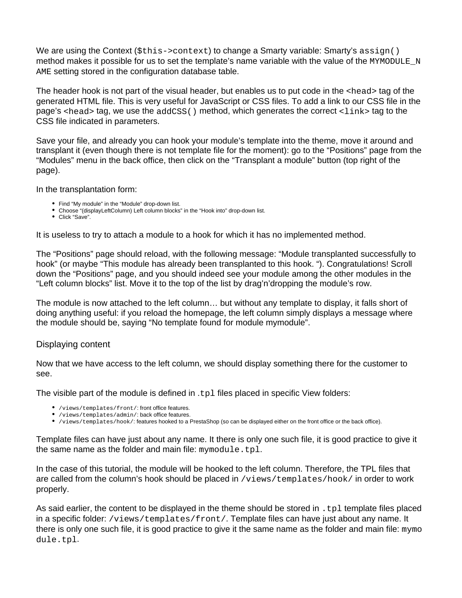We are using the Context ( $$$ this->context) to change a Smarty variable: Smarty's  $\text{assign}()$ method makes it possible for us to set the template's name variable with the value of the MYMODULE N AME setting stored in the configuration database table.

The header hook is not part of the visual header, but enables us to put code in the <head> tag of the generated HTML file. This is very useful for JavaScript or CSS files. To add a link to our CSS file in the page's  $\alpha$  and tag, we use the addCSS() method, which generates the correct  $\alpha$  ink tag to the CSS file indicated in parameters.

Save your file, and already you can hook your module's template into the theme, move it around and transplant it (even though there is not template file for the moment): go to the "Positions" page from the "Modules" menu in the back office, then click on the "Transplant a module" button (top right of the page).

In the transplantation form:

- Find "My module" in the "Module" drop-down list.
- Choose "(displayLeftColumn) Left column blocks" in the "Hook into" drop-down list.
- Click "Save".

It is useless to try to attach a module to a hook for which it has no implemented method.

The "Positions" page should reload, with the following message: "Module transplanted successfully to hook" (or maybe "This module has already been transplanted to this hook. "). Congratulations! Scroll down the "Positions" page, and you should indeed see your module among the other modules in the "Left column blocks" list. Move it to the top of the list by drag'n'dropping the module's row.

The module is now attached to the left column… but without any template to display, it falls short of doing anything useful: if you reload the homepage, the left column simply displays a message where the module should be, saying "No template found for module mymodule".

## Displaying content

Now that we have access to the left column, we should display something there for the customer to see.

The visible part of the module is defined in .tpl files placed in specific View folders:

- /views/templates/front/: front office features.
- /views/templates/admin/: back office features.
- /views/templates/hook/: features hooked to a PrestaShop (so can be displayed either on the front office or the back office).

Template files can have just about any name. It there is only one such file, it is good practice to give it the same name as the folder and main file: mymodule.tpl.

In the case of this tutorial, the module will be hooked to the left column. Therefore, the TPL files that are called from the column's hook should be placed in /views/templates/hook/ in order to work properly.

As said earlier, the content to be displayed in the theme should be stored in . tpl template files placed in a specific folder: /views/templates/front/. Template files can have just about any name. It there is only one such file, it is good practice to give it the same name as the folder and main file:  $mymo$ dule.tpl.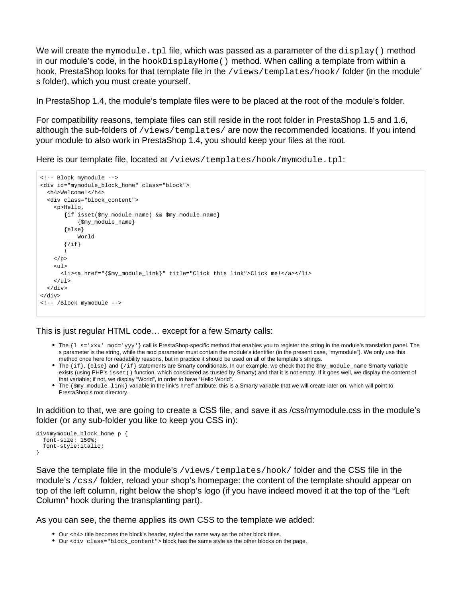We will create the mymodule.tpl file, which was passed as a parameter of the  $display()$  method in our module's code, in the hookDisplayHome() method. When calling a template from within a hook, PrestaShop looks for that template file in the /views/templates/hook/ folder (in the module' s folder), which you must create yourself.

In PrestaShop 1.4, the module's template files were to be placed at the root of the module's folder.

For compatibility reasons, template files can still reside in the root folder in PrestaShop 1.5 and 1.6, although the sub-folders of  $/views/templates/$  are now the recommended locations. If you intend your module to also work in PrestaShop 1.4, you should keep your files at the root.

Here is our template file, located at /views/templates/hook/mymodule.tpl:

```
<!-- Block mymodule -->
<div id="mymodule_block_home" class="block">
  <h4>Welcome!</h4>
   <div class="block_content">
     <p>Hello,
        {if isset($my_module_name) && $my_module_name}
            {$my_module_name}
        {else}
            World
       \{/if\} !
    \langle/p>
    \langle u1 \rangle <li><a href="{$my_module_link}" title="Click this link">Click me!</a></li>
    \langleul>
   </div>
</div>
<!-- /Block mymodule -->
```
This is just regular HTML code… except for a few Smarty calls:

- The {1 s='xxx' mod='yyy'} call is PrestaShop-specific method that enables you to register the string in the module's translation panel. The s parameter is the string, while the mod parameter must contain the module's identifier (in the present case, "mymodule"). We only use this method once here for readability reasons, but in practice it should be used on all of the template's strings.
- The {if}, {else} and {/if} statements are Smarty conditionals. In our example, we check that the \$my\_module\_name Smarty variable exists (using PHP's isset () function, which considered as trusted by Smarty) and that it is not empty. If it goes well, we display the content of that variable; if not, we display "World", in order to have "Hello World".
- The {\$my\_module\_link} variable in the link's href attribute: this is a Smarty variable that we will create later on, which will point to PrestaShop's root directory.

In addition to that, we are going to create a CSS file, and save it as /css/mymodule.css in the module's folder (or any sub-folder you like to keep you CSS in):

```
div#mymodule_block_home p {
   font-size: 150%;
   font-style:italic;
}
```
Save the template file in the module's /views/templates/hook/ folder and the CSS file in the module's /css/ folder, reload your shop's homepage: the content of the template should appear on top of the left column, right below the shop's logo (if you have indeed moved it at the top of the "Left Column" hook during the transplanting part).

As you can see, the theme applies its own CSS to the template we added:

- $\bullet$  Our <h4> title becomes the block's header, styled the same way as the other block titles.
- Our <div class="block\_content"> block has the same style as the other blocks on the page.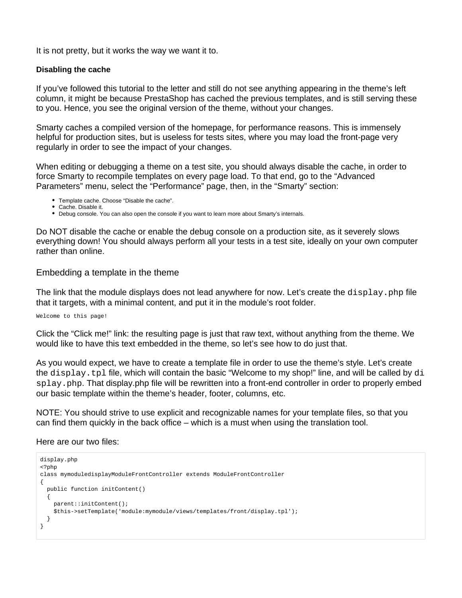It is not pretty, but it works the way we want it to.

### **Disabling the cache**

If you've followed this tutorial to the letter and still do not see anything appearing in the theme's left column, it might be because PrestaShop has cached the previous templates, and is still serving these to you. Hence, you see the original version of the theme, without your changes.

Smarty caches a compiled version of the homepage, for performance reasons. This is immensely helpful for production sites, but is useless for tests sites, where you may load the front-page very regularly in order to see the impact of your changes.

When editing or debugging a theme on a test site, you should always disable the cache, in order to force Smarty to recompile templates on every page load. To that end, go to the "Advanced Parameters" menu, select the "Performance" page, then, in the "Smarty" section:

- Template cache. Choose "Disable the cache".
- Cache. Disable it.
- Debug console. You can also open the console if you want to learn more about Smarty's internals.

Do NOT disable the cache or enable the debug console on a production site, as it severely slows everything down! You should always perform all your tests in a test site, ideally on your own computer rather than online.

### Embedding a template in the theme

The link that the module displays does not lead anywhere for now. Let's create the display.php file that it targets, with a minimal content, and put it in the module's root folder.

Welcome to this page!

Click the "Click me!" link: the resulting page is just that raw text, without anything from the theme. We would like to have this text embedded in the theme, so let's see how to do just that.

As you would expect, we have to create a template file in order to use the theme's style. Let's create the display.tpl file, which will contain the basic "Welcome to my shop!" line, and will be called by di splay. php. That display.php file will be rewritten into a front-end controller in order to properly embed our basic template within the theme's header, footer, columns, etc.

NOTE: You should strive to use explicit and recognizable names for your template files, so that you can find them quickly in the back office – which is a must when using the translation tool.

#### Here are our two files:

```
display.php
<?php
class mymoduledisplayModuleFrontController extends ModuleFrontController
{
  public function initContent()
   {
    parent::initContent();
    $this->setTemplate('module:mymodule/views/templates/front/display.tpl');
  }
}
```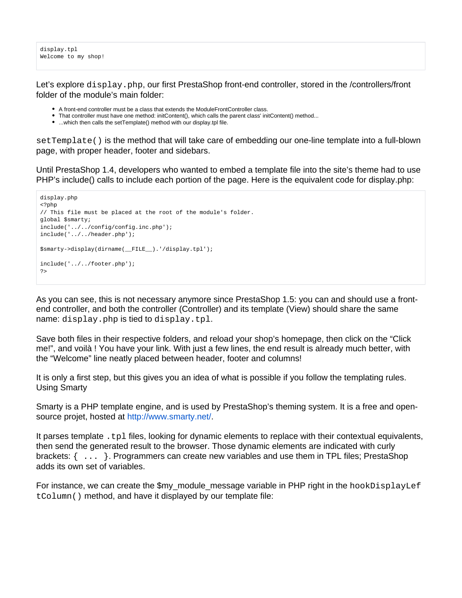display.tpl Welcome to my shop!

Let's explore  $\text{display.}$  php, our first PrestaShop front-end controller, stored in the /controllers/front folder of the module's main folder:

- A front-end controller must be a class that extends the ModuleFrontController class.
- That controller must have one method: initContent(), which calls the parent class' initContent() method...
- ...which then calls the setTemplate() method with our display.tpl file.

setTemplate() is the method that will take care of embedding our one-line template into a full-blown page, with proper header, footer and sidebars.

Until PrestaShop 1.4, developers who wanted to embed a template file into the site's theme had to use PHP's include() calls to include each portion of the page. Here is the equivalent code for display.php:

```
display.php
<?php
// This file must be placed at the root of the module's folder.
global $smarty;
include('../../config/config.inc.php');
include('../../header.php');
$smarty->display(dirname(__FILE__).'/display.tpl');
include('../../footer.php');
?>
```
As you can see, this is not necessary anymore since PrestaShop 1.5: you can and should use a frontend controller, and both the controller (Controller) and its template (View) should share the same name: display.php is tied to display.tpl.

Save both files in their respective folders, and reload your shop's homepage, then click on the "Click me!", and voilà ! You have your link. With just a few lines, the end result is already much better, with the "Welcome" line neatly placed between header, footer and columns!

It is only a first step, but this gives you an idea of what is possible if you follow the templating rules. Using Smarty

Smarty is a PHP template engine, and is used by PrestaShop's theming system. It is a free and opensource projet, hosted at <http://www.smarty.net/>.

It parses template  $.tp1$  files, looking for dynamic elements to replace with their contextual equivalents, then send the generated result to the browser. Those dynamic elements are indicated with curly brackets: { ... }. Programmers can create new variables and use them in TPL files; PrestaShop adds its own set of variables.

For instance, we can create the \$my\_module\_message variable in PHP right in the hookDisplayLef tColumn() method, and have it displayed by our template file: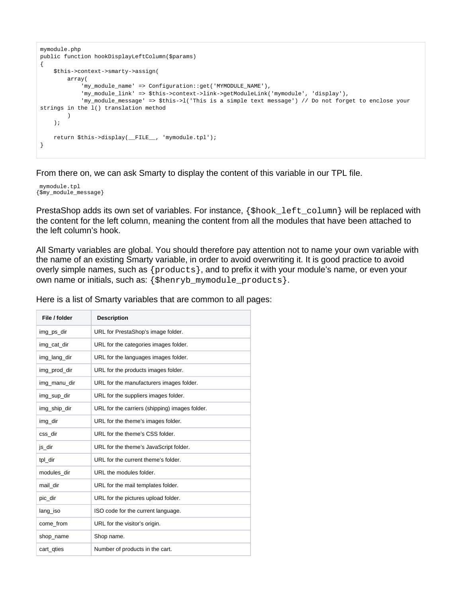```
mymodule.php
public function hookDisplayLeftColumn($params)
{
     $this->context->smarty->assign(
        array(
            'my_module_name' => Configuration::get('MYMODULE_NAME'),
            'my_module_link' => $this->context->link->getModuleLink('mymodule', 'display'),
            'my_module_message' => $this->l('This is a simple text message') // Do not forget to enclose your 
strings in the l() translation method
         )
     );
    return $this->display(__FILE__, 'mymodule.tpl');
}
```
From there on, we can ask Smarty to display the content of this variable in our TPL file.

mymodule.tpl {\$my\_module\_message}

PrestaShop adds its own set of variables. For instance, { $$hook$ hook\_left\_column} will be replaced with the content for the left column, meaning the content from all the modules that have been attached to the left column's hook.

All Smarty variables are global. You should therefore pay attention not to name your own variable with the name of an existing Smarty variable, in order to avoid overwriting it. It is good practice to avoid overly simple names, such as {products}, and to prefix it with your module's name, or even your own name or initials, such as: {\$henryb\_mymodule\_products}.

Here is a list of Smarty variables that are common to all pages:

| File / folder | <b>Description</b>                             |
|---------------|------------------------------------------------|
| img_ps_dir    | URL for PrestaShop's image folder.             |
| img_cat_dir   | URL for the categories images folder.          |
| img_lang_dir  | URL for the languages images folder.           |
| img_prod_dir  | URL for the products images folder.            |
| img_manu_dir  | URL for the manufacturers images folder.       |
| img_sup_dir   | URL for the suppliers images folder.           |
| img_ship_dir  | URL for the carriers (shipping) images folder. |
| img_dir       | URL for the theme's images folder.             |
| css dir       | URL for the theme's CSS folder.                |
| js_dir        | URL for the theme's JavaScript folder.         |
| tpl_dir       | URL for the current theme's folder.            |
| modules dir   | URL the modules folder.                        |
| mail dir      | URL for the mail templates folder.             |
| pic_dir       | URL for the pictures upload folder.            |
| lang_iso      | ISO code for the current language.             |
| come from     | URL for the visitor's origin.                  |
| shop_name     | Shop name.                                     |
| cart_qties    | Number of products in the cart.                |